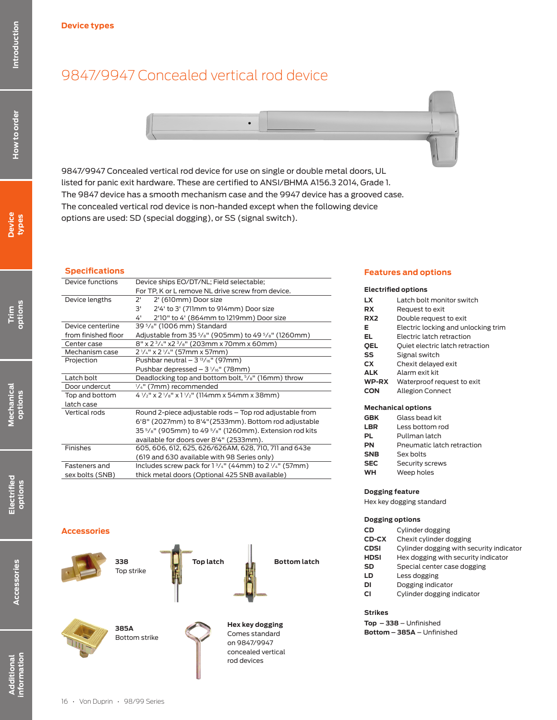## 9847/9947 Concealed vertical rod device



9847/9947 Concealed vertical rod device for use on single or double metal doors, UL listed for panic exit hardware. These are certified to ANSI/BHMA A156.3 2014, Grade 1. The 9847 device has a smooth mechanism case and the 9947 device has a grooved case. The concealed vertical rod device is non-handed except when the following device options are used: SD (special dogging), or SS (signal switch).

## **Specifications**

| Device functions |                     | Device ships EO/DT/NL; Field selectable;                                                                  |  |  |  |  |
|------------------|---------------------|-----------------------------------------------------------------------------------------------------------|--|--|--|--|
|                  |                     | For TP, K or L remove NL drive screw from device.                                                         |  |  |  |  |
|                  | Device lengths      | 2'<br>2' (610mm) Door size                                                                                |  |  |  |  |
|                  |                     | 2'4' to 3' (711mm to 914mm) Door size<br>3'                                                               |  |  |  |  |
|                  |                     | 4'<br>2'10" to 4' (864mm to 1219mm) Door size                                                             |  |  |  |  |
|                  | Device centerline   | 39 5/8" (1006 mm) Standard                                                                                |  |  |  |  |
|                  | from finished floor | Adjustable from 35 <sup>5</sup> / <sub>8</sub> " (905mm) to 49 <sup>5</sup> / <sub>8</sub> " (1260mm)     |  |  |  |  |
|                  | Center case         | $8''$ x 2 $3/4''$ x2 $3/8''$ (203mm x 70mm x 60mm)                                                        |  |  |  |  |
|                  | Mechanism case      | 2 1/4" x 2 1/4" (57mm x 57mm)                                                                             |  |  |  |  |
|                  | Projection          | Pushbar neutral $-3^{13}/16''$ (97mm)                                                                     |  |  |  |  |
|                  |                     | Pushbar depressed $-3$ $1/16$ " (78mm)                                                                    |  |  |  |  |
|                  | Latch bolt          | Deadlocking top and bottom bolt, $\frac{5}{8}$ " (16mm) throw                                             |  |  |  |  |
|                  | Door undercut       | 1/4" (7mm) recommended                                                                                    |  |  |  |  |
|                  | Top and bottom      | $4\frac{1}{2}$ " x 2 $\frac{1}{8}$ " x 1 $\frac{1}{2}$ " (114mm x 54mm x 38mm)                            |  |  |  |  |
|                  | latch case          |                                                                                                           |  |  |  |  |
|                  | Vertical rods       | Round 2-piece adjustable rods - Top rod adjustable from                                                   |  |  |  |  |
|                  |                     | 6'8" (2027mm) to 8'4" (2533mm). Bottom rod adjustable                                                     |  |  |  |  |
|                  |                     | 35 <sup>5</sup> / <sub>8</sub> " (905mm) to 49 <sup>5</sup> / <sub>8</sub> " (1260mm). Extension rod kits |  |  |  |  |
|                  |                     | available for doors over 8'4" (2533mm).                                                                   |  |  |  |  |
| Finishes         |                     | 605, 606, 612, 625, 626/626AM, 628, 710, 711 and 643e                                                     |  |  |  |  |
|                  |                     | (619 and 630 available with 98 Series only)                                                               |  |  |  |  |
|                  | Fasteners and       | Includes screw pack for $1\frac{3}{4}$ " (44mm) to 2 $\frac{1}{4}$ " (57mm)                               |  |  |  |  |
|                  | sex bolts (SNB)     | thick metal doors (Optional 425 SNB available)                                                            |  |  |  |  |
|                  |                     |                                                                                                           |  |  |  |  |

## **Features and options**

#### **Electrified options**

| LX              | Latch bolt monitor switch           |
|-----------------|-------------------------------------|
| RX              | Request to exit                     |
| RX <sub>2</sub> | Double request to exit              |
| Е               | Electric locking and unlocking trim |
| EL.             | <b>Electric latch retraction</b>    |
| <b>OEL</b>      | Quiet electric latch retraction     |
| SS              | Signal switch                       |
| CX              | Chexit delayed exit                 |
| <b>ALK</b>      | Alarm exit kit                      |
| WP-RX           | Waterproof request to exit          |
| CON             | <b>Allegion Connect</b>             |
|                 |                                     |

#### **Mechanical options**

| <b>GBK</b> | Glass bead kit             |
|------------|----------------------------|
| <b>LBR</b> | Less bottom rod            |
| PL.        | Pullman latch              |
| <b>PN</b>  | Pneumatic latch retraction |
| <b>SNB</b> | Sex bolts                  |
| <b>SEC</b> | Security screws            |
| WН         | Weep holes                 |
|            |                            |

#### **Dogging feature**

Hex key dogging standard

#### **Dogging options**

| CD    | Cylinder dogging                         |
|-------|------------------------------------------|
| CD-CX | Chexit cylinder dogging                  |
| CDSI  | Cylinder dogging with security indicator |
| HDSI  | Hex dogging with security indicator      |
| SD    | Special center case dogging              |
| LD    | Less dogging                             |
| DI    | Dogging indicator                        |
| СI    | Cylinder dogging indicator               |

## **Strikes**

**Top** – **338** – Unfinished **Bottom** – **385A** – Unfinished

## **Accessories**



How to order

Accessories